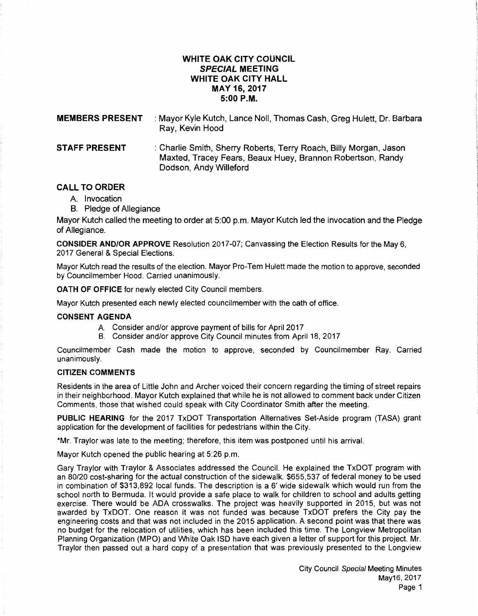# **WHITE OAK CITY COUNCIL SPECIAL MEETING WHITE OAK CITY HALL MAY 16,2017 5:00P.M.**

| <b>MEMBERS PRESENT</b> | : Mayor Kyle Kutch, Lance Noll, Thomas Cash, Greg Hulett, Dr. Barbara<br>Ray, Kevin Hood                                                                  |
|------------------------|-----------------------------------------------------------------------------------------------------------------------------------------------------------|
| <b>STAFF PRESENT</b>   | : Charlie Smith, Sherry Roberts, Terry Roach, Billy Morgan, Jason<br>Maxted, Tracey Fears, Beaux Huey, Brannon Robertson, Randy<br>Dodson, Andy Willeford |

# **CALL TO ORDER**

- A. Invocation
- B. Pledge of Allegiance

Mayor Kutch called the meeting to order at 5:00 p.m. Mayor Kutch led the invocation and the Pledge of Allegiance.

**CONSIDER AND/OR APPROVE** Resolution 2017-07; Canvassing the Election Results for the May 6, 2017 General & Special Elections.

Mayor Kutch read the results of the election. Mayor Pro-Tem Hulett made the motion to approve, seconded by Councilmember Hood. Carried unanimously.

**OATH OF OFFICE** for newly elected City Council members.

Mayor Kutch presented each newly elected councilmember with the oath of office.

## **CONSENT AGENDA**

- A. Consider and/or approve payment of bills for April 2017
- B. Consider and/or approve City Council minutes from April 18, 2017

Councilmember Cash made the motion to approve, seconded by Councilmember Ray. Carried unanimously.

## **CITIZEN COMMENTS**

Residents in the area of Little John and Archer voiced their concern regarding the timing of street repairs in their neighborhood. Mayor Kutch explained that while he is not allowed to comment back under Citizen Comments, those that wished could speak with City Coordinator Smith after the meeting.

**PUBLIC HEARING** for the 2017 TxDOT Transportation Alternatives Set-Aside program (TASA) grant application for the development of facilities for pedestrians within the City.

\*Mr. Traylor was late to the meeting; therefore, this item was postponed until his arrival.

Mayor Kutch opened the public hearing at 5:26 p.m.

Gary Traylor with Traylor & Associates addressed the Council. He explained the TxDOT program with an 80/20 cost-sharing for the actual construction of the sidewalk. \$655,537 of federal money to be used in combination of \$313,892 local funds. The description is a 6' wide sidewalk which would run from the school north to Bermuda. It would provide a safe place to walk for children to school and adults getting exercise. There would be ADA crosswalks. The project was heavily supported in 2015, but was not awarded by TxDOT. One reason it was not funded was because TxDOT prefers the City pay the engineering costs and that was not included in the 2015 application. A second point was that there was no budget for the relocation of utilities, which has been included this time. The Longview Metropolitan Planning Organization (MPO) and White Oak lSD have each given a letter of support for this project. Mr. Traylor then passed out a hard copy of a presentation that was previously presented to the Longview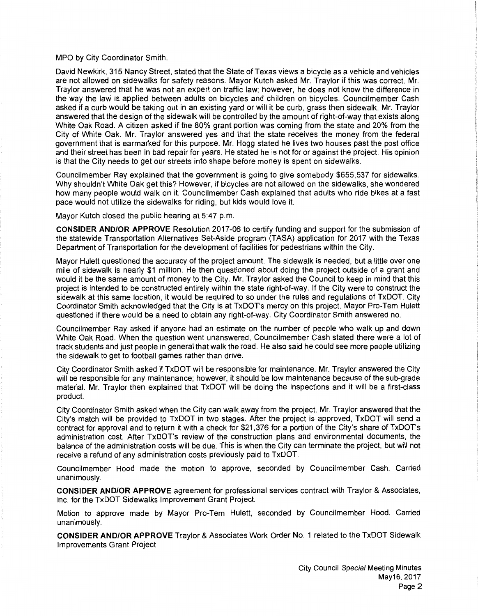### MPO by City Coordinator Smith.

David Newkirk, 315 Nancy Street, stated that the State of Texas views a bicycle as a vehicle and vehicles are not allowed on sidewalks for safety reasons. Mayor Kutch asked Mr. Traylor if this was correct. Mr. Traylor answered that he was not an expert on traffic law; however, he does not know the difference in the way the law is applied between adults on bicycles and children on bicycles. Councilmember Cash asked if a curb would be taking out in an existing yard or will it be curb, grass then sidewalk. Mr. Traylor answered that the design of the sidewalk will be controlled by the amount of right-of-way that exists along White Oak Road. A citizen asked if the 80% grant portion was coming from the state and 20% from the City of White Oak. Mr. Traylor answered yes and that the state receives the money from the federal government that is earmarked for this purpose. Mr. Hogg stated he lives two houses past the post office and their street has been in bad repair for years. He stated he is not for or against the project. His opinion is that the City needs to get our streets into shape before money is spent on sidewalks.

Councilmember Ray explained that the government is going to give somebody \$655,537 for sidewalks. Why shouldn't White Oak get this? However, if bicycles are not allowed on the sidewalks, she wondered how many people would walk on it. Councilmember Cash explained that adults who ride bikes at a fast pace would not utilize the sidewalks for riding, but kids would love it.

Mayor Kutch closed the public hearing at 5:47 p.m.

**CONSIDER AND/OR APPROVE** Resolution 2017-06 to certify funding and support for the submission of the statewide Transportation Alternatives Set-Aside program (TASA) application for 2017 with the Texas Department of Transportation for the development of facilities for pedestrians within the City.

Mayor Hulett questioned the accuracy of the project amount. The sidewalk is needed, but a little over one mile of sidewalk is nearly \$1 million. He then questioned about doing the project outside of a grant and would it be the same amount of money to the City. Mr. Traylor asked the Council to keep in mind that this project is intended to be constructed entirely within the state right-of-way. If the City were to construct the sidewalk at this same location, it would be required to so under the rules and regulations of TxDOT. City Coordinator Smith acknowledged that the City is at TxDOT's mercy on this project. Mayor Pro-Tem Hulett questioned if there would be a need to obtain any right-of-way. City Coordinator Smith answered no.

Councilmember Ray asked if anyone had an estimate on the number of people who walk up and down White Oak Road. When the question went unanswered, Councilmember Cash stated there were a lot of track students and just people in general that walk the road. He also said he could see more people utilizing the sidewalk to get to football games rather than drive.

City Coordinator Smith asked if TxDOT will be responsible for maintenance. Mr. Traylor answered the City will be responsible for any maintenance; however, it should be low maintenance because of the sub-grade material. Mr. Traylor then explained that TxDOT will be doing the inspections and it will be a first-class product.

City Coordinator Smith asked when the City can walk away from the project. Mr. Traylor answered that the City's match will be provided to TxDOT in two stages. After the project is approved, TxDOT will send a contract for approval and to return it with a check for \$21,376 for a portion of the City's share of TxDOT's administration cost. After TxDOT's review of the construction plans and environmental documents, the balance of the administration costs will be due. This is when the City can terminate the project, but will not receive a refund of any administration costs previously paid to TxDOT.

Councilmember Hood made the motion to approve, seconded by Councilmember Cash. Carried unanimously.

**CONSIDER AND/OR APPROVE** agreement for professional services contract with Traylor & Associates, Inc. for the TxDOT Sidewalks Improvement Grant Project.

Motion to approve made by Mayor Pro-Tem Hulett, seconded by Councilmember Hood. Carried unanimously.

**CONSIDER AND/OR APPROVE** Traylor & Associates Work Order No. 1 related to the TxDOT Sidewalk Improvements Grant Project.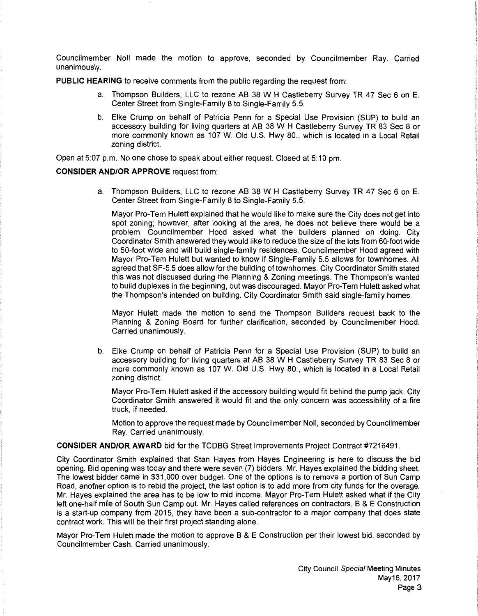Councilmember Noll made the motion to approve, seconded by Councilmember Ray. Carried unanimously.

**PUBLIC HEARING** to receive comments from the public regarding the request from:

- a. Thompson Builders, LLC to rezone AB 38 W H Castleberry Survey TR 47 Sec 6 on E. Center Street from Single-Family 8 to Single-Family 5.5.
- b. Elke Crump on behalf of Patricia Penn for a Special Use Provision (SUP) to build an accessory building for living quarters at AB 38 W H Castleberry Survey TR 83 Sec 8 or more commonly known as 107 W. Old U.S. Hwy 80., which is located in a Local Retail zoning district.

Open at 5:07 p.m. No one chose to speak about either request. Closed at 5:10 pm.

# **CONSIDER AND/OR APPROVE** request from:

a. Thompson Builders, LLC to rezone AB 38 W H Castleberry Survey TR 47 Sec 6 on E. Center Street from Single-Family 8 to Single-Family 5.5.

Mayor Pro-Tem Hulett explained that he would like to make sure the City does not get into spot zoning; however, after looking at the area, he does not believe there would be a problem. Councilmember Hood asked what the builders planned on doing. City Coordinator Smith answered they would like to reduce the size of the lots from 60-foot wide to 50-foot wide and will build single-family residences. Councilmember Hood agreed with Mayor Pro-Tem Hulett but wanted to know if Single-Family 5.5 allows for townhomes. All agreed that SF-5.5 does allow for the building of town homes. City Coordinator Smith stated this was not discussed during the Planning & Zoning meetings. The Thompson's wanted to build duplexes in the beginning, but was discouraged. Mayor Pro-Tem Hulett asked what the Thompson's intended on building. City Coordinator Smith said single-family homes.

Mayor Hulett made the motion to send the Thompson Builders request back to the Planning & Zoning Board for further clarification, seconded by Councilmember Hood. Carried unanimously.

b. Elke Crump on behalf of Patricia Penn for a Special Use Provision (SUP) to build an accessory building for living quarters at AB 38 W H Castleberry Survey TR 83 Sec 8 or more commonly known as 107 W. Old U.S. Hwy 80., which is located in a Local Retail zoning district.

Mayor Pro-Tem Hulett asked if the accessory building would fit behind the pump jack. City Coordinator Smith answered it would fit and the only concern was accessibility of a fire truck, if needed.

Motion to approve the request made by Councilmember Noll, seconded by Councilmember Ray. Carried unanimously.

## **CONSIDER AND/OR AWARD** bid for the TCDBG Street Improvements Project Contract #7216491.

City Coordinator Smith explained that Stan Hayes from Hayes Engineering is here to discuss the bid opening. Bid opening was today and there were seven (7) bidders. Mr. Hayes explained the bidding sheet. The lowest bidder came in \$31,000 over budget. One of the options is to remove a portion of Sun Camp Road, another option is to rebid the project, the last option is to add more from city funds for the overage. Mr. Hayes explained the area has to be low to mid income. Mayor Pro-Tem Hulett asked what if the City left one-half mile of South Sun Camp out. Mr. Hayes called references on contractors. B & E Construction is a start-up company from 2015, they have been a sub-contractor to a major company that does state contract work. This will be their first project standing alone.

Mayor Pro-Tem Hulett made the motion to approve B & E Construction per their lowest bid, seconded by Councilmember Cash. Carried unanimously.